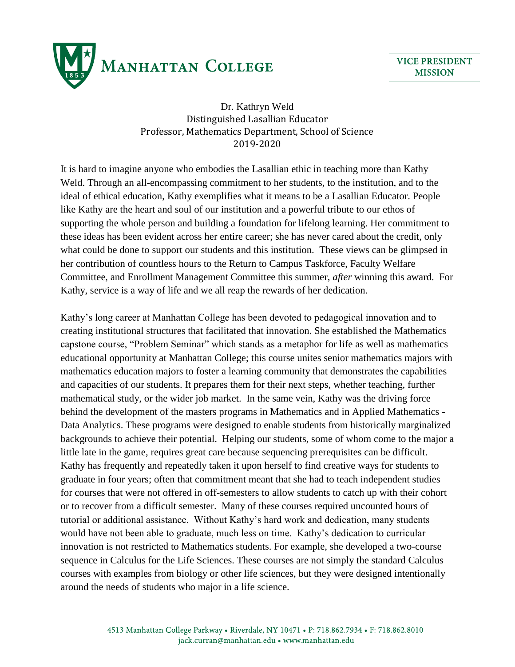

Dr. Kathryn Weld Distinguished Lasallian Educator Professor, Mathematics Department, School of Science 2019-2020

It is hard to imagine anyone who embodies the Lasallian ethic in teaching more than Kathy Weld. Through an all-encompassing commitment to her students, to the institution, and to the ideal of ethical education, Kathy exemplifies what it means to be a Lasallian Educator. People like Kathy are the heart and soul of our institution and a powerful tribute to our ethos of supporting the whole person and building a foundation for lifelong learning. Her commitment to these ideas has been evident across her entire career; she has never cared about the credit, only what could be done to support our students and this institution. These views can be glimpsed in her contribution of countless hours to the Return to Campus Taskforce, Faculty Welfare Committee, and Enrollment Management Committee this summer, *after* winning this award. For Kathy, service is a way of life and we all reap the rewards of her dedication.

Kathy's long career at Manhattan College has been devoted to pedagogical innovation and to creating institutional structures that facilitated that innovation. She established the Mathematics capstone course, "Problem Seminar" which stands as a metaphor for life as well as mathematics educational opportunity at Manhattan College; this course unites senior mathematics majors with mathematics education majors to foster a learning community that demonstrates the capabilities and capacities of our students. It prepares them for their next steps, whether teaching, further mathematical study, or the wider job market. In the same vein, Kathy was the driving force behind the development of the masters programs in Mathematics and in Applied Mathematics - Data Analytics. These programs were designed to enable students from historically marginalized backgrounds to achieve their potential. Helping our students, some of whom come to the major a little late in the game, requires great care because sequencing prerequisites can be difficult. Kathy has frequently and repeatedly taken it upon herself to find creative ways for students to graduate in four years; often that commitment meant that she had to teach independent studies for courses that were not offered in off-semesters to allow students to catch up with their cohort or to recover from a difficult semester. Many of these courses required uncounted hours of tutorial or additional assistance. Without Kathy's hard work and dedication, many students would have not been able to graduate, much less on time. Kathy's dedication to curricular innovation is not restricted to Mathematics students. For example, she developed a two-course sequence in Calculus for the Life Sciences. These courses are not simply the standard Calculus courses with examples from biology or other life sciences, but they were designed intentionally around the needs of students who major in a life science.